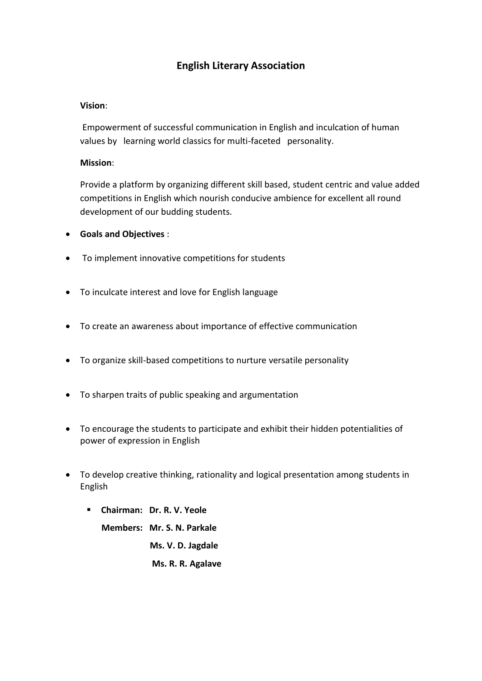### **English Literary Association**

#### **Vision**:

Empowerment of successful communication in English and inculcation of human values by learning world classics for multi-faceted personality.

#### **Mission**:

Provide a platform by organizing different skill based, student centric and value added competitions in English which nourish conducive ambience for excellent all round development of our budding students.

- **Goals and Objectives** :
- To implement innovative competitions for students
- To inculcate interest and love for English language
- To create an awareness about importance of effective communication
- To organize skill-based competitions to nurture versatile personality
- To sharpen traits of public speaking and argumentation
- To encourage the students to participate and exhibit their hidden potentialities of power of expression in English
- To develop creative thinking, rationality and logical presentation among students in English
	- **Chairman: Dr. R. V. Yeole**

 **Members: Mr. S. N. Parkale Ms. V. D. Jagdale Ms. R. R. Agalave**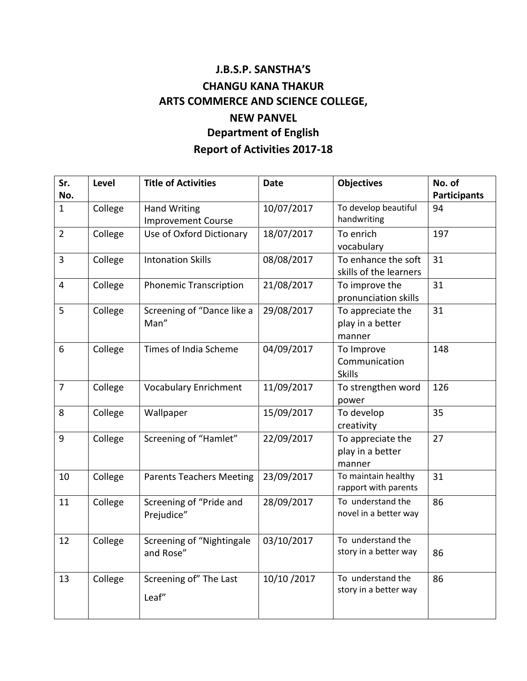# **J.B.S.P. SANSTHA'S CHANGU KANA THAKUR ARTS COMMERCE AND SCIENCE COLLEGE, NEW PANVEL Department of English Report of Activities 2017-18**

| Sr.            | Level   | <b>Title of Activities</b>      | <b>Date</b>  | <b>Objectives</b>      | No. of              |
|----------------|---------|---------------------------------|--------------|------------------------|---------------------|
| No.            |         |                                 |              |                        | <b>Participants</b> |
| $\mathbf{1}$   | College | <b>Hand Writing</b>             | 10/07/2017   | To develop beautiful   | 94                  |
|                |         | <b>Improvement Course</b>       |              | handwriting            |                     |
| $\overline{2}$ | College | Use of Oxford Dictionary        | 18/07/2017   | To enrich              | 197                 |
|                |         |                                 |              | vocabulary             |                     |
| $\overline{3}$ | College | <b>Intonation Skills</b>        | 08/08/2017   | To enhance the soft    | 31                  |
|                |         |                                 |              | skills of the learners |                     |
| $\overline{4}$ | College | <b>Phonemic Transcription</b>   | 21/08/2017   | To improve the         | 31                  |
|                |         |                                 |              | pronunciation skills   |                     |
| 5              | College | Screening of "Dance like a      | 29/08/2017   | To appreciate the      | 31                  |
|                |         | Man"                            |              | play in a better       |                     |
|                |         |                                 |              | manner                 |                     |
| 6              | College | Times of India Scheme           | 04/09/2017   | To Improve             | 148                 |
|                |         |                                 |              | Communication          |                     |
| $\overline{7}$ |         |                                 | 11/09/2017   | <b>Skills</b>          | 126                 |
|                | College | <b>Vocabulary Enrichment</b>    |              | To strengthen word     |                     |
| 8              | College | Wallpaper                       | 15/09/2017   | power<br>To develop    | 35                  |
|                |         |                                 |              | creativity             |                     |
| 9              | College | Screening of "Hamlet"           | 22/09/2017   | To appreciate the      | 27                  |
|                |         |                                 |              | play in a better       |                     |
|                |         |                                 |              | manner                 |                     |
| 10             | College | <b>Parents Teachers Meeting</b> | 23/09/2017   | To maintain healthy    | 31                  |
|                |         |                                 |              | rapport with parents   |                     |
| 11             | College | Screening of "Pride and         | 28/09/2017   | To understand the      | 86                  |
|                |         | Prejudice"                      |              | novel in a better way  |                     |
|                |         |                                 |              |                        |                     |
| 12             | College | Screening of "Nightingale       | 03/10/2017   | To understand the      |                     |
|                |         | and Rose"                       |              | story in a better way  | 86                  |
|                |         |                                 |              |                        |                     |
| 13             | College | Screening of" The Last          | 10/10 / 2017 | To understand the      | 86                  |
|                |         | Leaf"                           |              | story in a better way  |                     |
|                |         |                                 |              |                        |                     |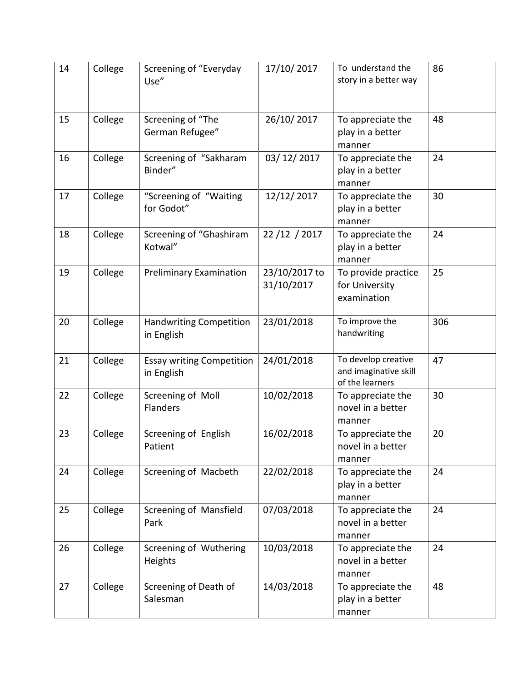| 14 | College | Screening of "Everyday<br>Use"                 | 17/10/2017                  | To understand the<br>story in a better way                      | 86  |
|----|---------|------------------------------------------------|-----------------------------|-----------------------------------------------------------------|-----|
| 15 | College | Screening of "The<br>German Refugee"           | 26/10/2017                  | To appreciate the<br>play in a better<br>manner                 | 48  |
| 16 | College | Screening of "Sakharam<br>Binder"              | 03/12/2017                  | To appreciate the<br>play in a better<br>manner                 | 24  |
| 17 | College | "Screening of "Waiting<br>for Godot"           | 12/12/2017                  | To appreciate the<br>play in a better<br>manner                 | 30  |
| 18 | College | Screening of "Ghashiram<br>Kotwal"             | 22/12/2017                  | To appreciate the<br>play in a better<br>manner                 | 24  |
| 19 | College | <b>Preliminary Examination</b>                 | 23/10/2017 to<br>31/10/2017 | To provide practice<br>for University<br>examination            | 25  |
| 20 | College | <b>Handwriting Competition</b><br>in English   | 23/01/2018                  | To improve the<br>handwriting                                   | 306 |
| 21 | College | <b>Essay writing Competition</b><br>in English | 24/01/2018                  | To develop creative<br>and imaginative skill<br>of the learners | 47  |
| 22 | College | Screening of Moll<br><b>Flanders</b>           | 10/02/2018                  | To appreciate the<br>novel in a better<br>manner                | 30  |
| 23 | College | Screening of English<br>Patient                | 16/02/2018                  | To appreciate the<br>novel in a better<br>manner                | 20  |
| 24 | College | Screening of Macbeth                           | 22/02/2018                  | To appreciate the<br>play in a better<br>manner                 | 24  |
| 25 | College | Screening of Mansfield<br>Park                 | 07/03/2018                  | To appreciate the<br>novel in a better<br>manner                | 24  |
| 26 | College | Screening of Wuthering<br>Heights              | 10/03/2018                  | To appreciate the<br>novel in a better<br>manner                | 24  |
| 27 | College | Screening of Death of<br>Salesman              | 14/03/2018                  | To appreciate the<br>play in a better<br>manner                 | 48  |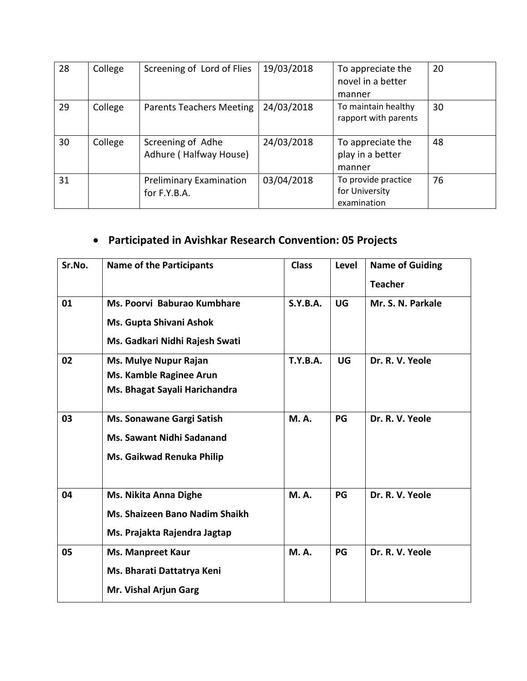| 28 | College | Screening of Lord of Flies                     | 19/03/2018 | To appreciate the<br>novel in a better<br>manner     | 20 |
|----|---------|------------------------------------------------|------------|------------------------------------------------------|----|
| 29 | College | <b>Parents Teachers Meeting</b>                | 24/03/2018 | To maintain healthy<br>rapport with parents          | 30 |
| 30 | College | Screening of Adhe<br>Adhure (Halfway House)    | 24/03/2018 | To appreciate the<br>play in a better<br>manner      | 48 |
| 31 |         | <b>Preliminary Examination</b><br>for F.Y.B.A. | 03/04/2018 | To provide practice<br>for University<br>examination | 76 |

# **Participated in Avishkar Research Convention: 05 Projects**

| Sr.No. | <b>Name of the Participants</b>                                                                | <b>Class</b>    | Level | <b>Name of Guiding</b><br><b>Teacher</b> |
|--------|------------------------------------------------------------------------------------------------|-----------------|-------|------------------------------------------|
| 01     | Ms. Poorvi Baburao Kumbhare<br>Ms. Gupta Shivani Ashok                                         | S.Y.B.A.        | UG    | Mr. S. N. Parkale                        |
|        | Ms. Gadkari Nidhi Rajesh Swati                                                                 |                 |       |                                          |
| 02     | Ms. Mulye Nupur Rajan<br>Ms. Kamble Raginee Arun<br>Ms. Bhagat Sayali Harichandra              | <b>T.Y.B.A.</b> | UG    | Dr. R. V. Yeole                          |
| 03     | Ms. Sonawane Gargi Satish<br><b>Ms. Sawant Nidhi Sadanand</b><br>Ms. Gaikwad Renuka Philip     | <b>M.A.</b>     | PG    | Dr. R. V. Yeole                          |
| 04     | Ms. Nikita Anna Dighe<br><b>Ms. Shaizeen Bano Nadim Shaikh</b><br>Ms. Prajakta Rajendra Jagtap | <b>M.A.</b>     | PG    | Dr. R. V. Yeole                          |
| 05     | <b>Ms. Manpreet Kaur</b><br>Ms. Bharati Dattatrya Keni<br>Mr. Vishal Arjun Garg                | <b>M.A.</b>     | PG    | Dr. R. V. Yeole                          |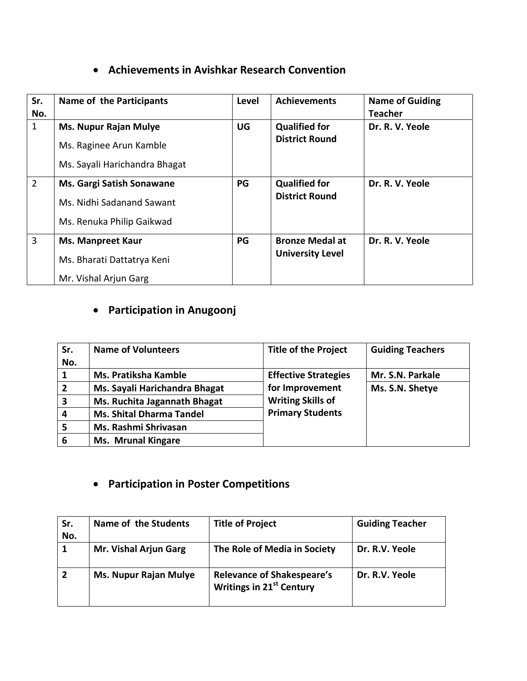### **Achievements in Avishkar Research Convention**

| Sr.<br>No.     | Name of the Participants                                                                   | Level     | <b>Achievements</b>                               | <b>Name of Guiding</b><br><b>Teacher</b> |
|----------------|--------------------------------------------------------------------------------------------|-----------|---------------------------------------------------|------------------------------------------|
| $\mathbf{1}$   | <b>Ms. Nupur Rajan Mulye</b><br>Ms. Raginee Arun Kamble<br>Ms. Sayali Harichandra Bhagat   | <b>UG</b> | <b>Qualified for</b><br><b>District Round</b>     | Dr. R. V. Yeole                          |
| $\overline{2}$ | <b>Ms. Gargi Satish Sonawane</b><br>Ms. Nidhi Sadanand Sawant<br>Ms. Renuka Philip Gaikwad | PG        | <b>Qualified for</b><br><b>District Round</b>     | Dr. R. V. Yeole                          |
| $\overline{3}$ | <b>Ms. Manpreet Kaur</b><br>Ms. Bharati Dattatrya Keni<br>Mr. Vishal Arjun Garg            | PG        | <b>Bronze Medal at</b><br><b>University Level</b> | Dr. R. V. Yeole                          |

## **Participation in Anugoonj**

| Sr.<br>No.     | <b>Name of Volunteers</b>       | <b>Title of the Project</b> | <b>Guiding Teachers</b> |
|----------------|---------------------------------|-----------------------------|-------------------------|
| 1              | <b>Ms. Pratiksha Kamble</b>     | <b>Effective Strategies</b> | Mr. S.N. Parkale        |
| $\overline{2}$ | Ms. Sayali Harichandra Bhagat   | for Improvement             | Ms. S.N. Shetye         |
| 3              | Ms. Ruchita Jagannath Bhagat    | <b>Writing Skills of</b>    |                         |
| 4              | <b>Ms. Shital Dharma Tandel</b> | <b>Primary Students</b>     |                         |
| 5              | Ms. Rashmi Shrivasan            |                             |                         |
| 6              | <b>Ms. Mrunal Kingare</b>       |                             |                         |

## **Participation in Poster Competitions**

| Sr.<br>No. | Name of the Students         | <b>Title of Project</b>                                                   | <b>Guiding Teacher</b> |
|------------|------------------------------|---------------------------------------------------------------------------|------------------------|
| 1          | Mr. Vishal Arjun Garg        | The Role of Media in Society                                              | Dr. R.V. Yeole         |
|            | <b>Ms. Nupur Rajan Mulye</b> | <b>Relevance of Shakespeare's</b><br>Writings in 21 <sup>st</sup> Century | Dr. R.V. Yeole         |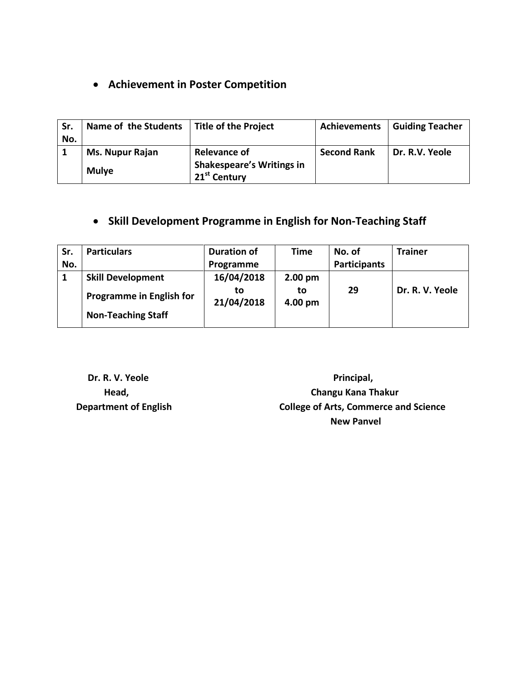### **Achievement in Poster Competition**

| Sr.<br>No. | Name of the Students   | <b>Title of the Project</b>                                  | <b>Achievements</b> | <b>Guiding Teacher</b> |
|------------|------------------------|--------------------------------------------------------------|---------------------|------------------------|
|            | <b>Ms. Nupur Rajan</b> | <b>Relevance of</b>                                          | <b>Second Rank</b>  | Dr. R.V. Yeole         |
|            | <b>Mulye</b>           | <b>Shakespeare's Writings in</b><br>21 <sup>st</sup> Century |                     |                        |

### **Skill Development Programme in English for Non-Teaching Staff**

| Sr. | <b>Particulars</b>              | <b>Duration of</b> | Time          | No. of              | <b>Trainer</b>  |
|-----|---------------------------------|--------------------|---------------|---------------------|-----------------|
| No. |                                 | Programme          |               | <b>Participants</b> |                 |
|     | <b>Skill Development</b>        | 16/04/2018         | $2.00$ pm     |                     |                 |
|     | <b>Programme in English for</b> | to<br>21/04/2018   | to<br>4.00 pm | 29                  | Dr. R. V. Yeole |
|     | <b>Non-Teaching Staff</b>       |                    |               |                     |                 |

**Dr. R. V. Yeole Principal,** *Principal***,** *Principal***,** *Principal***,** *Principal***,** *Principal***,** *Principal***,** *Principal***,** *Principal***,** *Principal***,** *Principal***,** *Principal***,** *Principal***,** *Principal***,** *Principal***,** *Principal*  **Head, Changu Kana Thakur Department of English College of Arts, Commerce and Science New Panvel**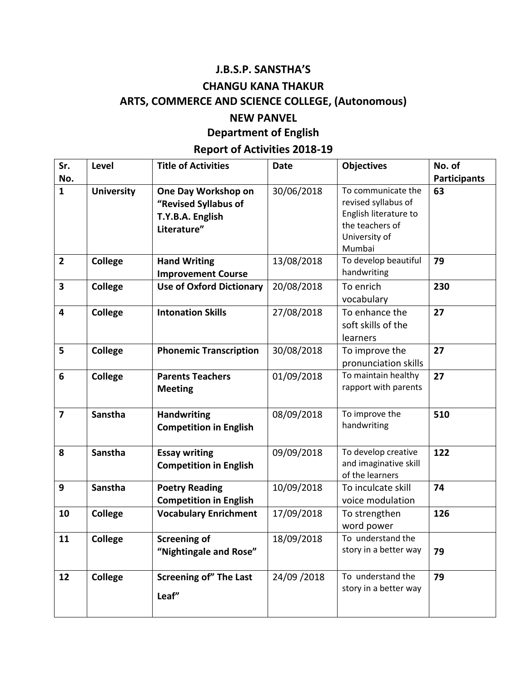#### **J.B.S.P. SANSTHA'S**

#### **CHANGU KANA THAKUR**

## **ARTS, COMMERCE AND SCIENCE COLLEGE, (Autonomous)**

#### **NEW PANVEL**

#### **Department of English**

## **Report of Activities 2018-19**

| Sr.                     | Level             | <b>Title of Activities</b>                                                     | <b>Date</b> | <b>Objectives</b>                                                                                      | No. of              |
|-------------------------|-------------------|--------------------------------------------------------------------------------|-------------|--------------------------------------------------------------------------------------------------------|---------------------|
| No.                     |                   |                                                                                |             |                                                                                                        | <b>Participants</b> |
| $\mathbf{1}$            | <b>University</b> | One Day Workshop on<br>"Revised Syllabus of<br>T.Y.B.A. English<br>Literature" | 30/06/2018  | To communicate the<br>revised syllabus of<br>English literature to<br>the teachers of<br>University of | 63                  |
|                         |                   |                                                                                |             | Mumbai                                                                                                 |                     |
| $\overline{\mathbf{2}}$ | <b>College</b>    | <b>Hand Writing</b><br><b>Improvement Course</b>                               | 13/08/2018  | To develop beautiful<br>handwriting                                                                    | 79                  |
| 3                       | <b>College</b>    | <b>Use of Oxford Dictionary</b>                                                | 20/08/2018  | To enrich<br>vocabulary                                                                                | 230                 |
| 4                       | College           | <b>Intonation Skills</b>                                                       | 27/08/2018  | To enhance the<br>soft skills of the<br>learners                                                       | 27                  |
| 5                       | <b>College</b>    | <b>Phonemic Transcription</b>                                                  | 30/08/2018  | To improve the<br>pronunciation skills                                                                 | 27                  |
| 6                       | <b>College</b>    | <b>Parents Teachers</b><br><b>Meeting</b>                                      | 01/09/2018  | To maintain healthy<br>rapport with parents                                                            | 27                  |
| $\overline{7}$          | Sanstha           | <b>Handwriting</b><br><b>Competition in English</b>                            | 08/09/2018  | To improve the<br>handwriting                                                                          | 510                 |
| 8                       | Sanstha           | <b>Essay writing</b><br><b>Competition in English</b>                          | 09/09/2018  | To develop creative<br>and imaginative skill<br>of the learners                                        | 122                 |
| 9                       | Sanstha           | <b>Poetry Reading</b><br><b>Competition in English</b>                         | 10/09/2018  | To inculcate skill<br>voice modulation                                                                 | 74                  |
| 10                      | <b>College</b>    | <b>Vocabulary Enrichment</b>                                                   | 17/09/2018  | To strengthen<br>word power                                                                            | 126                 |
| 11                      | College           | <b>Screening of</b><br>"Nightingale and Rose"                                  | 18/09/2018  | To understand the<br>story in a better way                                                             | 79                  |
| 12                      | College           | <b>Screening of" The Last</b><br>Leaf"                                         | 24/09/2018  | To understand the<br>story in a better way                                                             | 79                  |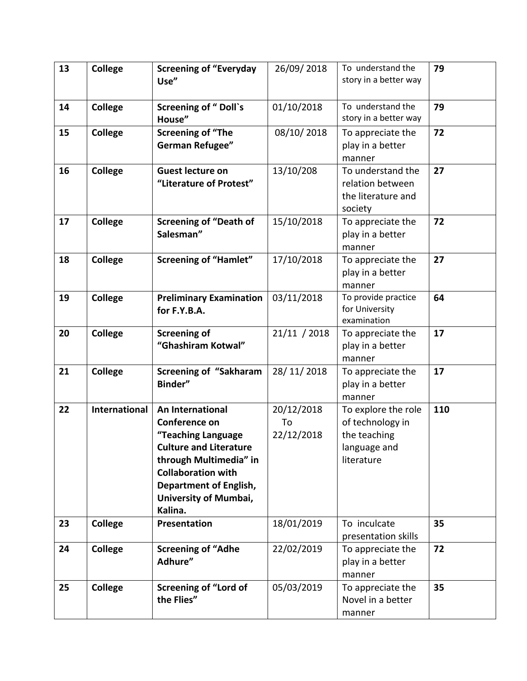| 13 | <b>College</b> | <b>Screening of "Everyday</b><br>Use"                                                                                                                                                                                | 26/09/2018                     | To understand the<br>story in a better way                                            | 79  |
|----|----------------|----------------------------------------------------------------------------------------------------------------------------------------------------------------------------------------------------------------------|--------------------------------|---------------------------------------------------------------------------------------|-----|
| 14 | <b>College</b> | <b>Screening of "Doll's</b><br>House"                                                                                                                                                                                | 01/10/2018                     | To understand the<br>story in a better way                                            | 79  |
| 15 | <b>College</b> | <b>Screening of "The</b><br><b>German Refugee"</b>                                                                                                                                                                   | 08/10/2018                     | To appreciate the<br>play in a better<br>manner                                       | 72  |
| 16 | <b>College</b> | <b>Guest lecture on</b><br>"Literature of Protest"                                                                                                                                                                   | 13/10/208                      | To understand the<br>relation between<br>the literature and<br>society                | 27  |
| 17 | <b>College</b> | <b>Screening of "Death of</b><br>Salesman"                                                                                                                                                                           | 15/10/2018                     | To appreciate the<br>play in a better<br>manner                                       | 72  |
| 18 | <b>College</b> | <b>Screening of "Hamlet"</b>                                                                                                                                                                                         | 17/10/2018                     | To appreciate the<br>play in a better<br>manner                                       | 27  |
| 19 | <b>College</b> | <b>Preliminary Examination</b><br>for F.Y.B.A.                                                                                                                                                                       | 03/11/2018                     | To provide practice<br>for University<br>examination                                  | 64  |
| 20 | <b>College</b> | <b>Screening of</b><br>"Ghashiram Kotwal"                                                                                                                                                                            | 21/11 / 2018                   | To appreciate the<br>play in a better<br>manner                                       | 17  |
| 21 | <b>College</b> | <b>Screening of "Sakharam</b><br>Binder"                                                                                                                                                                             | 28/11/2018                     | To appreciate the<br>play in a better<br>manner                                       | 17  |
| 22 | International  | An International<br>Conference on<br>"Teaching Language<br><b>Culture and Literature</b><br>through Multimedia" in<br><b>Collaboration with</b><br><b>Department of English,</b><br>University of Mumbai,<br>Kalina. | 20/12/2018<br>To<br>22/12/2018 | To explore the role<br>of technology in<br>the teaching<br>language and<br>literature | 110 |
| 23 | College        | Presentation                                                                                                                                                                                                         | 18/01/2019                     | To inculcate<br>presentation skills                                                   | 35  |
| 24 | <b>College</b> | <b>Screening of "Adhe</b><br>Adhure"                                                                                                                                                                                 | 22/02/2019                     | To appreciate the<br>play in a better<br>manner                                       | 72  |
| 25 | College        | <b>Screening of "Lord of</b><br>the Flies"                                                                                                                                                                           | 05/03/2019                     | To appreciate the<br>Novel in a better<br>manner                                      | 35  |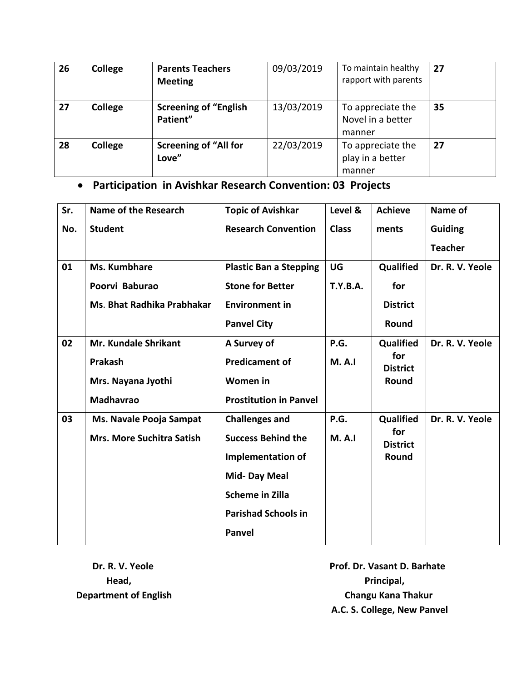| 26 | College | <b>Parents Teachers</b><br><b>Meeting</b> | 09/03/2019 | To maintain healthy<br>rapport with parents      | 27 |
|----|---------|-------------------------------------------|------------|--------------------------------------------------|----|
| 27 | College | <b>Screening of "English</b><br>Patient"  | 13/03/2019 | To appreciate the<br>Novel in a better<br>manner | 35 |
| 28 | College | <b>Screening of "All for</b><br>Love"     | 22/03/2019 | To appreciate the<br>play in a better<br>manner  | 27 |

### **Participation in Avishkar Research Convention: 03 Projects**

| Sr. | Name of the Research             | <b>Topic of Avishkar</b>      | Level &         | <b>Achieve</b>                               | Name of         |
|-----|----------------------------------|-------------------------------|-----------------|----------------------------------------------|-----------------|
| No. | <b>Student</b>                   | <b>Research Convention</b>    | <b>Class</b>    | ments                                        | <b>Guiding</b>  |
|     |                                  |                               |                 |                                              | <b>Teacher</b>  |
| 01  | Ms. Kumbhare                     | <b>Plastic Ban a Stepping</b> | UG              | Qualified                                    | Dr. R. V. Yeole |
|     | Poorvi Baburao                   | <b>Stone for Better</b>       | <b>T.Y.B.A.</b> | for                                          |                 |
|     | Ms. Bhat Radhika Prabhakar       | <b>Environment in</b>         |                 | <b>District</b>                              |                 |
|     |                                  | <b>Panvel City</b>            |                 | Round                                        |                 |
| 02  | <b>Mr. Kundale Shrikant</b>      | A Survey of                   | P.G.            | Qualified                                    | Dr. R. V. Yeole |
|     | Prakash                          | <b>Predicament of</b>         | <b>M.A.I</b>    | for<br><b>District</b>                       |                 |
|     | Mrs. Nayana Jyothi               | Women in                      |                 | Round                                        |                 |
|     | <b>Madhavrao</b>                 | <b>Prostitution in Panvel</b> |                 |                                              |                 |
| 03  | Ms. Navale Pooja Sampat          | <b>Challenges and</b>         | P.G.            | Qualified<br>for<br><b>District</b><br>Round | Dr. R. V. Yeole |
|     | <b>Mrs. More Suchitra Satish</b> | <b>Success Behind the</b>     | M. A. I         |                                              |                 |
|     |                                  | Implementation of             |                 |                                              |                 |
|     |                                  | Mid-Day Meal                  |                 |                                              |                 |
|     |                                  | <b>Scheme in Zilla</b>        |                 |                                              |                 |
|     |                                  | <b>Parishad Schools in</b>    |                 |                                              |                 |
|     |                                  | <b>Panvel</b>                 |                 |                                              |                 |

**Dr. R. V. Yeole Dr. R. V. Yeole Prof. Dr. Vasant D. Barhate Head,** Principal, Principal, Principal, Principal, Principal, Principal, Principal, Principal, Principal, Principal, Principal, Principal, Principal, Principal, Principal, Principal, Principal, Principal, Principal, Prin **Department of English Changu Kana Thakur Changu Kana Thakur A.C. S. College, New Panvel**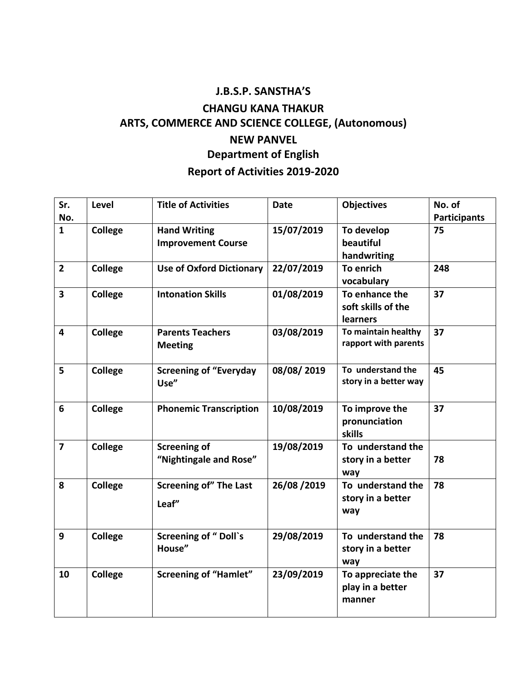# **J.B.S.P. SANSTHA'S CHANGU KANA THAKUR ARTS, COMMERCE AND SCIENCE COLLEGE, (Autonomous) NEW PANVEL Department of English Report of Activities 2019-2020**

| Sr.<br>No.              | Level          | <b>Title of Activities</b>                       | <b>Date</b> | <b>Objectives</b>                                       | No. of<br><b>Participants</b> |
|-------------------------|----------------|--------------------------------------------------|-------------|---------------------------------------------------------|-------------------------------|
| $\mathbf{1}$            | College        | <b>Hand Writing</b><br><b>Improvement Course</b> | 15/07/2019  | To develop<br>beautiful<br>handwriting                  | 75                            |
| $\overline{2}$          | College        | <b>Use of Oxford Dictionary</b>                  | 22/07/2019  | To enrich<br>vocabulary                                 | 248                           |
| $\overline{\mathbf{3}}$ | College        | <b>Intonation Skills</b>                         | 01/08/2019  | To enhance the<br>soft skills of the<br><b>learners</b> | 37                            |
| 4                       | <b>College</b> | <b>Parents Teachers</b><br><b>Meeting</b>        | 03/08/2019  | To maintain healthy<br>rapport with parents             | 37                            |
| 5                       | <b>College</b> | <b>Screening of "Everyday</b><br>Use"            | 08/08/2019  | To understand the<br>story in a better way              | 45                            |
| 6                       | <b>College</b> | <b>Phonemic Transcription</b>                    | 10/08/2019  | To improve the<br>pronunciation<br>skills               | 37                            |
| $\overline{\mathbf{z}}$ | College        | <b>Screening of</b><br>"Nightingale and Rose"    | 19/08/2019  | To understand the<br>story in a better<br>way           | 78                            |
| 8                       | College        | <b>Screening of" The Last</b><br>Leaf"           | 26/08/2019  | To understand the<br>story in a better<br>way           | 78                            |
| 9                       | College        | <b>Screening of "Doll's</b><br>House"            | 29/08/2019  | To understand the<br>story in a better<br>way           | 78                            |
| 10                      | <b>College</b> | <b>Screening of "Hamlet"</b>                     | 23/09/2019  | 37<br>To appreciate the<br>play in a better<br>manner   |                               |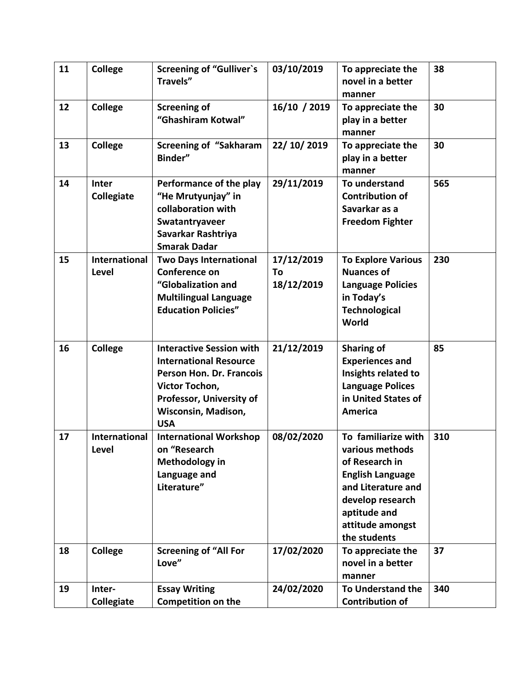| 11 | College                       | <b>Screening of "Gulliver's</b><br>Travels"                                                                                                                                            | 03/10/2019                     | To appreciate the<br>novel in a better<br>manner                                                                                                                                  | 38  |
|----|-------------------------------|----------------------------------------------------------------------------------------------------------------------------------------------------------------------------------------|--------------------------------|-----------------------------------------------------------------------------------------------------------------------------------------------------------------------------------|-----|
| 12 | College                       | <b>Screening of</b><br>"Ghashiram Kotwal"                                                                                                                                              | 16/10 / 2019                   | To appreciate the<br>play in a better<br>manner                                                                                                                                   | 30  |
| 13 | <b>College</b>                | <b>Screening of "Sakharam</b><br>Binder"                                                                                                                                               | 22/ 10/ 2019                   | To appreciate the<br>play in a better<br>manner                                                                                                                                   | 30  |
| 14 | Inter<br>Collegiate           | Performance of the play<br>"He Mrutyunjay" in<br>collaboration with<br>Swatantryaveer<br>Savarkar Rashtriya<br><b>Smarak Dadar</b>                                                     | 29/11/2019                     | To understand<br><b>Contribution of</b><br>Savarkar as a<br><b>Freedom Fighter</b>                                                                                                | 565 |
| 15 | <b>International</b><br>Level | <b>Two Days International</b><br>Conference on<br>"Globalization and<br><b>Multilingual Language</b><br><b>Education Policies"</b>                                                     | 17/12/2019<br>To<br>18/12/2019 | <b>To Explore Various</b><br><b>Nuances of</b><br><b>Language Policies</b><br>in Today's<br><b>Technological</b><br>World                                                         | 230 |
| 16 | College                       | <b>Interactive Session with</b><br><b>International Resource</b><br>Person Hon. Dr. Francois<br>Victor Tochon,<br>Professor, University of<br><b>Wisconsin, Madison,</b><br><b>USA</b> | 21/12/2019                     | <b>Sharing of</b><br><b>Experiences and</b><br>Insights related to<br><b>Language Polices</b><br>in United States of<br><b>America</b>                                            | 85  |
| 17 | International<br>Level        | <b>International Workshop</b><br>on "Research<br>Methodology in<br>Language and<br>Literature"                                                                                         | 08/02/2020                     | To familiarize with<br>various methods<br>of Research in<br><b>English Language</b><br>and Literature and<br>develop research<br>aptitude and<br>attitude amongst<br>the students | 310 |
| 18 | College                       | <b>Screening of "All For</b><br>Love"                                                                                                                                                  | 17/02/2020                     | To appreciate the<br>novel in a better<br>manner                                                                                                                                  | 37  |
| 19 | Inter-<br>Collegiate          | <b>Essay Writing</b><br><b>Competition on the</b>                                                                                                                                      | 24/02/2020                     | To Understand the<br><b>Contribution of</b>                                                                                                                                       | 340 |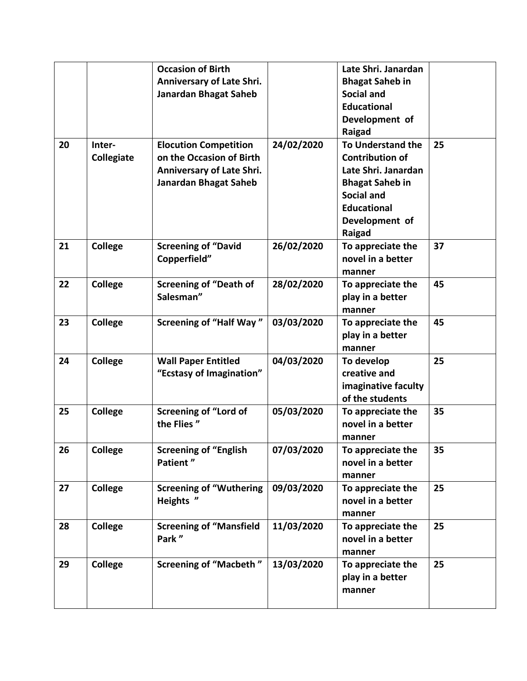|    |                | <b>Occasion of Birth</b>       |            | Late Shri. Janardan      |    |
|----|----------------|--------------------------------|------------|--------------------------|----|
|    |                | Anniversary of Late Shri.      |            | <b>Bhagat Saheb in</b>   |    |
|    |                | <b>Janardan Bhagat Saheb</b>   |            | <b>Social and</b>        |    |
|    |                |                                |            | <b>Educational</b>       |    |
|    |                |                                |            | Development of           |    |
|    |                |                                |            | Raigad                   |    |
| 20 | Inter-         | <b>Elocution Competition</b>   | 24/02/2020 | <b>To Understand the</b> | 25 |
|    | Collegiate     | on the Occasion of Birth       |            | <b>Contribution of</b>   |    |
|    |                | Anniversary of Late Shri.      |            | Late Shri. Janardan      |    |
|    |                | <b>Janardan Bhagat Saheb</b>   |            | <b>Bhagat Saheb in</b>   |    |
|    |                |                                |            | <b>Social and</b>        |    |
|    |                |                                |            | <b>Educational</b>       |    |
|    |                |                                |            | Development of           |    |
|    |                |                                |            | Raigad                   |    |
| 21 | <b>College</b> | <b>Screening of "David</b>     | 26/02/2020 | To appreciate the        | 37 |
|    |                | Copperfield"                   |            | novel in a better        |    |
|    |                |                                |            | manner                   |    |
| 22 | <b>College</b> | <b>Screening of "Death of</b>  | 28/02/2020 | To appreciate the        | 45 |
|    |                | Salesman"                      |            | play in a better         |    |
|    |                |                                |            | manner                   |    |
| 23 | <b>College</b> | <b>Screening of "Half Way"</b> | 03/03/2020 | To appreciate the        | 45 |
|    |                |                                |            | play in a better         |    |
|    |                |                                |            | manner                   |    |
| 24 | <b>College</b> | <b>Wall Paper Entitled</b>     | 04/03/2020 | To develop               | 25 |
|    |                | "Ecstasy of Imagination"       |            | creative and             |    |
|    |                |                                |            | imaginative faculty      |    |
|    |                |                                |            | of the students          |    |
| 25 | <b>College</b> | <b>Screening of "Lord of</b>   | 05/03/2020 | To appreciate the        | 35 |
|    |                | the Flies"                     |            | novel in a better        |    |
|    |                |                                |            | manner                   |    |
| 26 | <b>College</b> | <b>Screening of "English</b>   | 07/03/2020 | To appreciate the        | 35 |
|    |                | Patient"                       |            | novel in a better        |    |
|    |                |                                |            | manner                   |    |
| 27 | <b>College</b> | <b>Screening of "Wuthering</b> | 09/03/2020 | To appreciate the        | 25 |
|    |                | Heights "                      |            | novel in a better        |    |
|    |                |                                |            | manner                   |    |
| 28 | <b>College</b> | <b>Screening of "Mansfield</b> | 11/03/2020 | To appreciate the        | 25 |
|    |                | Park"                          |            | novel in a better        |    |
|    |                |                                |            | manner                   |    |
| 29 | <b>College</b> | <b>Screening of "Macbeth"</b>  | 13/03/2020 | To appreciate the        | 25 |
|    |                |                                |            | play in a better         |    |
|    |                |                                |            | manner                   |    |
|    |                |                                |            |                          |    |